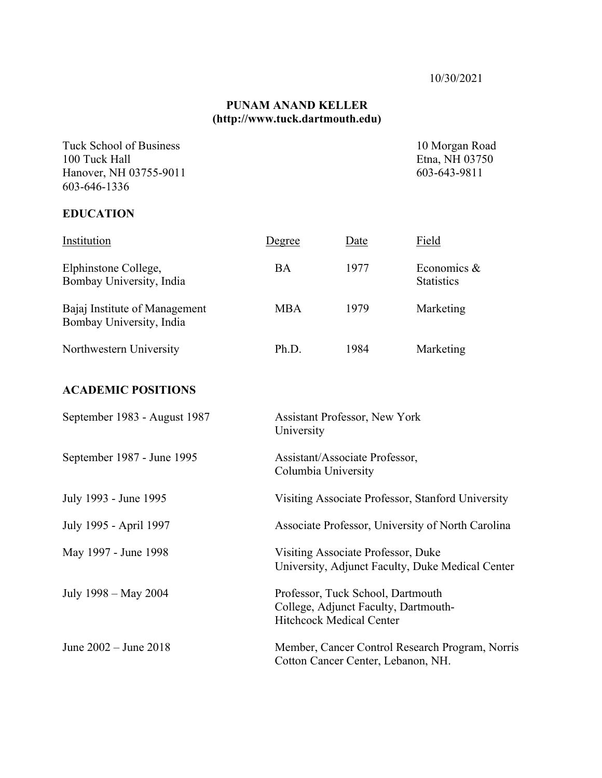#### **PUNAM ANAND KELLER (http://www.tuck.dartmouth.edu)**

Tuck School of Business 10 Morgan Road 100 Tuck Hall Etna, NH 03750<br>
Hanover, NH 03755-9011 603-643-9811 Hanover, NH 03755-9011 603-646-1336

### **EDUCATION**

| Institution                                               | Degree     | Date | Field                               |
|-----------------------------------------------------------|------------|------|-------------------------------------|
| Elphinstone College,<br>Bombay University, India          | BA         | 1977 | Economics $\&$<br><b>Statistics</b> |
| Bajaj Institute of Management<br>Bombay University, India | <b>MBA</b> | 1979 | Marketing                           |
| Northwestern University                                   | Ph.D.      | 1984 | Marketing                           |

## **ACADEMIC POSITIONS**

| September 1983 - August 1987 | <b>Assistant Professor, New York</b><br>University                                                           |
|------------------------------|--------------------------------------------------------------------------------------------------------------|
| September 1987 - June 1995   | Assistant/Associate Professor,<br>Columbia University                                                        |
| July 1993 - June 1995        | Visiting Associate Professor, Stanford University                                                            |
| July 1995 - April 1997       | Associate Professor, University of North Carolina                                                            |
| May 1997 - June 1998         | Visiting Associate Professor, Duke<br>University, Adjunct Faculty, Duke Medical Center                       |
| July 1998 – May 2004         | Professor, Tuck School, Dartmouth<br>College, Adjunct Faculty, Dartmouth-<br><b>Hitchcock Medical Center</b> |
| June $2002 -$ June $2018$    | Member, Cancer Control Research Program, Norris<br>Cotton Cancer Center, Lebanon, NH.                        |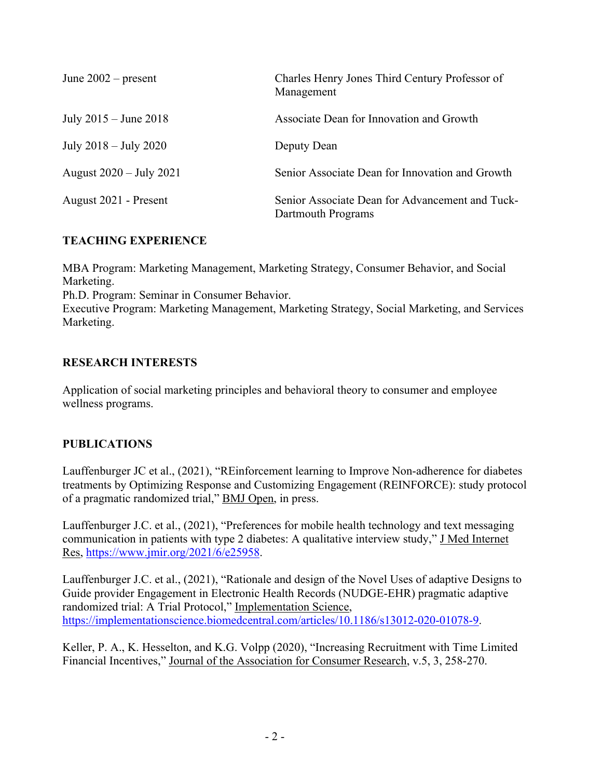| June $2002$ – present             | Charles Henry Jones Third Century Professor of<br>Management          |
|-----------------------------------|-----------------------------------------------------------------------|
| July $2015 -$ June $2018$         | Associate Dean for Innovation and Growth                              |
| July $2018 -$ July $2020$         | Deputy Dean                                                           |
| August $2020 - \text{July } 2021$ | Senior Associate Dean for Innovation and Growth                       |
| August 2021 - Present             | Senior Associate Dean for Advancement and Tuck-<br>Dartmouth Programs |

## **TEACHING EXPERIENCE**

MBA Program: Marketing Management, Marketing Strategy, Consumer Behavior, and Social Marketing.

Ph.D. Program: Seminar in Consumer Behavior.

Executive Program: Marketing Management, Marketing Strategy, Social Marketing, and Services Marketing.

## **RESEARCH INTERESTS**

Application of social marketing principles and behavioral theory to consumer and employee wellness programs.

# **PUBLICATIONS**

Lauffenburger JC et al., (2021), "REinforcement learning to Improve Non-adherence for diabetes treatments by Optimizing Response and Customizing Engagement (REINFORCE): study protocol of a pragmatic randomized trial," BMJ Open, in press.

Lauffenburger J.C. et al., (2021), "Preferences for mobile health technology and text messaging communication in patients with type 2 diabetes: A qualitative interview study," J Med Internet Res, https://www.jmir.org/2021/6/e25958.

Lauffenburger J.C. et al., (2021), "Rationale and design of the Novel Uses of adaptive Designs to Guide provider Engagement in Electronic Health Records (NUDGE-EHR) pragmatic adaptive randomized trial: A Trial Protocol," Implementation Science, https://implementationscience.biomedcentral.com/articles/10.1186/s13012-020-01078-9.

Keller, P. A., K. Hesselton, and K.G. Volpp (2020), "Increasing Recruitment with Time Limited Financial Incentives," Journal of the Association for Consumer Research, v.5, 3, 258-270.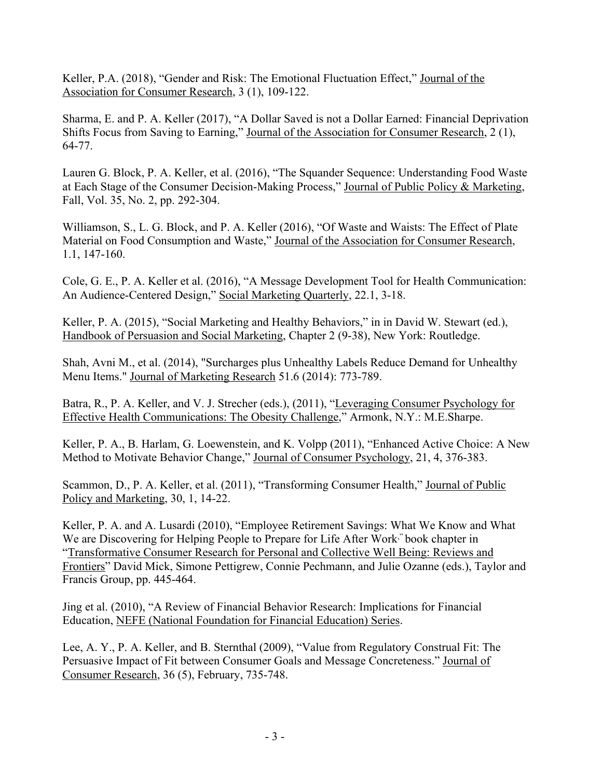Keller, P.A. (2018), "Gender and Risk: The Emotional Fluctuation Effect," Journal of the Association for Consumer Research, 3 (1), 109-122.

Sharma, E. and P. A. Keller (2017), "A Dollar Saved is not a Dollar Earned: Financial Deprivation Shifts Focus from Saving to Earning," Journal of the Association for Consumer Research, 2 (1), 64-77.

Lauren G. Block, P. A. Keller, et al. (2016), "The Squander Sequence: Understanding Food Waste at Each Stage of the Consumer Decision-Making Process," Journal of Public Policy & Marketing, Fall, Vol. 35, No. 2, pp. 292-304.

Williamson, S., L. G. Block, and P. A. Keller (2016), "Of Waste and Waists: The Effect of Plate Material on Food Consumption and Waste," Journal of the Association for Consumer Research, 1.1, 147-160.

Cole, G. E., P. A. Keller et al. (2016), "A Message Development Tool for Health Communication: An Audience-Centered Design," Social Marketing Quarterly, 22.1, 3-18.

Keller, P. A. (2015), "Social Marketing and Healthy Behaviors," in in David W. Stewart (ed.), Handbook of Persuasion and Social Marketing, Chapter 2 (9-38), New York: Routledge.

Shah, Avni M., et al. (2014), "Surcharges plus Unhealthy Labels Reduce Demand for Unhealthy Menu Items." Journal of Marketing Research 51.6 (2014): 773-789.

Batra, R., P. A. Keller, and V. J. Strecher (eds.), (2011), "Leveraging Consumer Psychology for Effective Health Communications: The Obesity Challenge," Armonk, N.Y.: M.E.Sharpe.

Keller, P. A., B. Harlam, G. Loewenstein, and K. Volpp (2011), "Enhanced Active Choice: A New Method to Motivate Behavior Change," Journal of Consumer Psychology, 21, 4, 376-383.

Scammon, D., P. A. Keller, et al. (2011), "Transforming Consumer Health," Journal of Public Policy and Marketing, 30, 1, 14-22.

Keller, P. A. and A. Lusardi (2010), "Employee Retirement Savings: What We Know and What We are Discovering for Helping People to Prepare for Life After Work<sup>,"</sup> book chapter in "Transformative Consumer Research for Personal and Collective Well Being: Reviews and Frontiers" David Mick, Simone Pettigrew, Connie Pechmann, and Julie Ozanne (eds.), Taylor and Francis Group, pp. 445-464.

Jing et al. (2010), "A Review of Financial Behavior Research: Implications for Financial Education, NEFE (National Foundation for Financial Education) Series.

Lee, A. Y., P. A. Keller, and B. Sternthal (2009), "Value from Regulatory Construal Fit: The Persuasive Impact of Fit between Consumer Goals and Message Concreteness." Journal of Consumer Research, 36 (5), February, 735-748.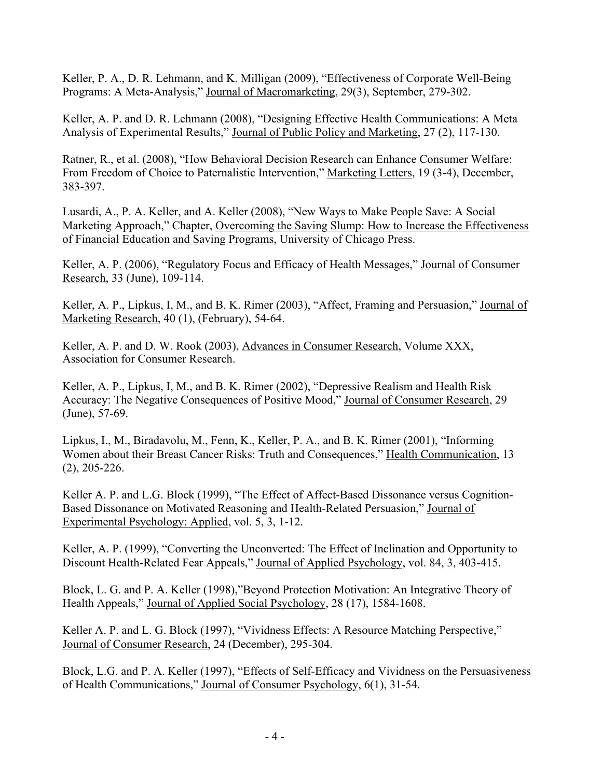Keller, P. A., D. R. Lehmann, and K. Milligan (2009), "Effectiveness of Corporate Well-Being Programs: A Meta-Analysis," Journal of Macromarketing, 29(3), September, 279-302.

Keller, A. P. and D. R. Lehmann (2008), "Designing Effective Health Communications: A Meta Analysis of Experimental Results," Journal of Public Policy and Marketing, 27 (2), 117-130.

Ratner, R., et al. (2008), "How Behavioral Decision Research can Enhance Consumer Welfare: From Freedom of Choice to Paternalistic Intervention," Marketing Letters, 19 (3-4), December, 383-397.

Lusardi, A., P. A. Keller, and A. Keller (2008), "New Ways to Make People Save: A Social Marketing Approach," Chapter, Overcoming the Saving Slump: How to Increase the Effectiveness of Financial Education and Saving Programs, University of Chicago Press.

Keller, A. P. (2006), "Regulatory Focus and Efficacy of Health Messages," Journal of Consumer Research, 33 (June), 109-114.

Keller, A. P., Lipkus, I, M., and B. K. Rimer (2003), "Affect, Framing and Persuasion," Journal of Marketing Research, 40 (1), (February), 54-64.

Keller, A. P. and D. W. Rook (2003), Advances in Consumer Research, Volume XXX, Association for Consumer Research.

Keller, A. P., Lipkus, I, M., and B. K. Rimer (2002), "Depressive Realism and Health Risk Accuracy: The Negative Consequences of Positive Mood," Journal of Consumer Research, 29 (June), 57-69.

Lipkus, I., M., Biradavolu, M., Fenn, K., Keller, P. A., and B. K. Rimer (2001), "Informing Women about their Breast Cancer Risks: Truth and Consequences," Health Communication, 13 (2), 205-226.

Keller A. P. and L.G. Block (1999), "The Effect of Affect-Based Dissonance versus Cognition-Based Dissonance on Motivated Reasoning and Health-Related Persuasion," Journal of Experimental Psychology: Applied, vol. 5, 3, 1-12.

Keller, A. P. (1999), "Converting the Unconverted: The Effect of Inclination and Opportunity to Discount Health-Related Fear Appeals," Journal of Applied Psychology, vol. 84, 3, 403-415.

Block, L. G. and P. A. Keller (1998),"Beyond Protection Motivation: An Integrative Theory of Health Appeals," Journal of Applied Social Psychology, 28 (17), 1584-1608.

Keller A. P. and L. G. Block (1997), "Vividness Effects: A Resource Matching Perspective," Journal of Consumer Research, 24 (December), 295-304.

Block, L.G. and P. A. Keller (1997), "Effects of Self-Efficacy and Vividness on the Persuasiveness of Health Communications," Journal of Consumer Psychology, 6(1), 31-54.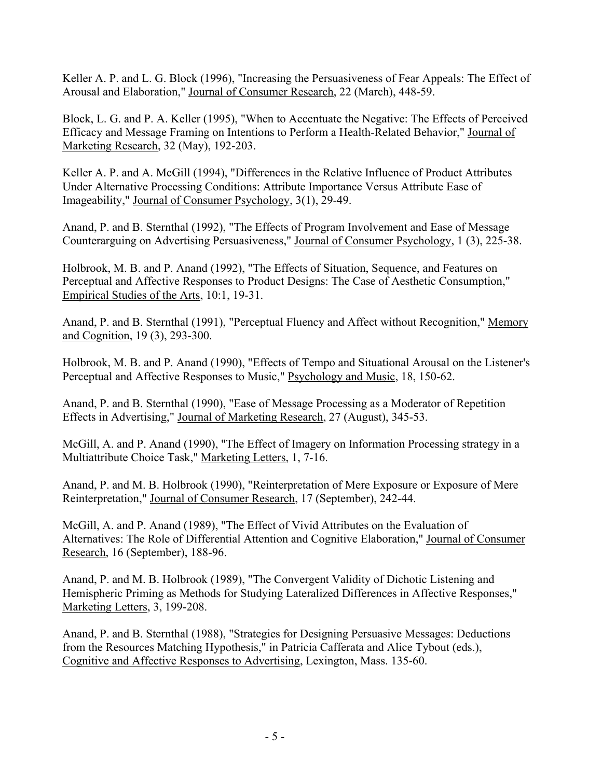Keller A. P. and L. G. Block (1996), "Increasing the Persuasiveness of Fear Appeals: The Effect of Arousal and Elaboration," Journal of Consumer Research, 22 (March), 448-59.

Block, L. G. and P. A. Keller (1995), "When to Accentuate the Negative: The Effects of Perceived Efficacy and Message Framing on Intentions to Perform a Health-Related Behavior," Journal of Marketing Research, 32 (May), 192-203.

Keller A. P. and A. McGill (1994), "Differences in the Relative Influence of Product Attributes Under Alternative Processing Conditions: Attribute Importance Versus Attribute Ease of Imageability," Journal of Consumer Psychology, 3(1), 29-49.

Anand, P. and B. Sternthal (1992), "The Effects of Program Involvement and Ease of Message Counterarguing on Advertising Persuasiveness," Journal of Consumer Psychology, 1 (3), 225-38.

Holbrook, M. B. and P. Anand (1992), "The Effects of Situation, Sequence, and Features on Perceptual and Affective Responses to Product Designs: The Case of Aesthetic Consumption," Empirical Studies of the Arts, 10:1, 19-31.

Anand, P. and B. Sternthal (1991), "Perceptual Fluency and Affect without Recognition," Memory and Cognition, 19 (3), 293-300.

Holbrook, M. B. and P. Anand (1990), "Effects of Tempo and Situational Arousal on the Listener's Perceptual and Affective Responses to Music," Psychology and Music, 18, 150-62.

Anand, P. and B. Sternthal (1990), "Ease of Message Processing as a Moderator of Repetition Effects in Advertising," Journal of Marketing Research, 27 (August), 345-53.

McGill, A. and P. Anand (1990), "The Effect of Imagery on Information Processing strategy in a Multiattribute Choice Task," Marketing Letters, 1, 7-16.

Anand, P. and M. B. Holbrook (1990), "Reinterpretation of Mere Exposure or Exposure of Mere Reinterpretation," Journal of Consumer Research, 17 (September), 242-44.

McGill, A. and P. Anand (1989), "The Effect of Vivid Attributes on the Evaluation of Alternatives: The Role of Differential Attention and Cognitive Elaboration," Journal of Consumer Research, 16 (September), 188-96.

Anand, P. and M. B. Holbrook (1989), "The Convergent Validity of Dichotic Listening and Hemispheric Priming as Methods for Studying Lateralized Differences in Affective Responses," Marketing Letters, 3, 199-208.

Anand, P. and B. Sternthal (1988), "Strategies for Designing Persuasive Messages: Deductions from the Resources Matching Hypothesis," in Patricia Cafferata and Alice Tybout (eds.), Cognitive and Affective Responses to Advertising, Lexington, Mass. 135-60.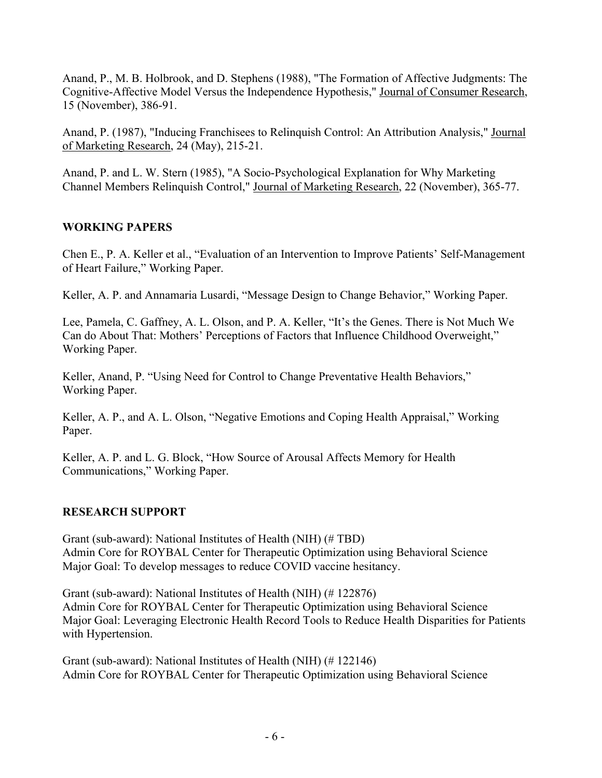Anand, P., M. B. Holbrook, and D. Stephens (1988), "The Formation of Affective Judgments: The Cognitive-Affective Model Versus the Independence Hypothesis," Journal of Consumer Research, 15 (November), 386-91.

Anand, P. (1987), "Inducing Franchisees to Relinquish Control: An Attribution Analysis," Journal of Marketing Research, 24 (May), 215-21.

Anand, P. and L. W. Stern (1985), "A Socio-Psychological Explanation for Why Marketing Channel Members Relinquish Control," Journal of Marketing Research, 22 (November), 365-77.

## **WORKING PAPERS**

Chen E., P. A. Keller et al., "Evaluation of an Intervention to Improve Patients' Self-Management of Heart Failure," Working Paper.

Keller, A. P. and Annamaria Lusardi, "Message Design to Change Behavior," Working Paper.

Lee, Pamela, C. Gaffney, A. L. Olson, and P. A. Keller, "It's the Genes. There is Not Much We Can do About That: Mothers' Perceptions of Factors that Influence Childhood Overweight," Working Paper.

Keller, Anand, P. "Using Need for Control to Change Preventative Health Behaviors," Working Paper.

Keller, A. P., and A. L. Olson, "Negative Emotions and Coping Health Appraisal," Working Paper.

Keller, A. P. and L. G. Block, "How Source of Arousal Affects Memory for Health Communications," Working Paper.

### **RESEARCH SUPPORT**

Grant (sub-award): National Institutes of Health (NIH) (# TBD) Admin Core for ROYBAL Center for Therapeutic Optimization using Behavioral Science Major Goal: To develop messages to reduce COVID vaccine hesitancy.

Grant (sub-award): National Institutes of Health (NIH) (# 122876) Admin Core for ROYBAL Center for Therapeutic Optimization using Behavioral Science Major Goal: Leveraging Electronic Health Record Tools to Reduce Health Disparities for Patients with Hypertension.

Grant (sub-award): National Institutes of Health (NIH) (# 122146) Admin Core for ROYBAL Center for Therapeutic Optimization using Behavioral Science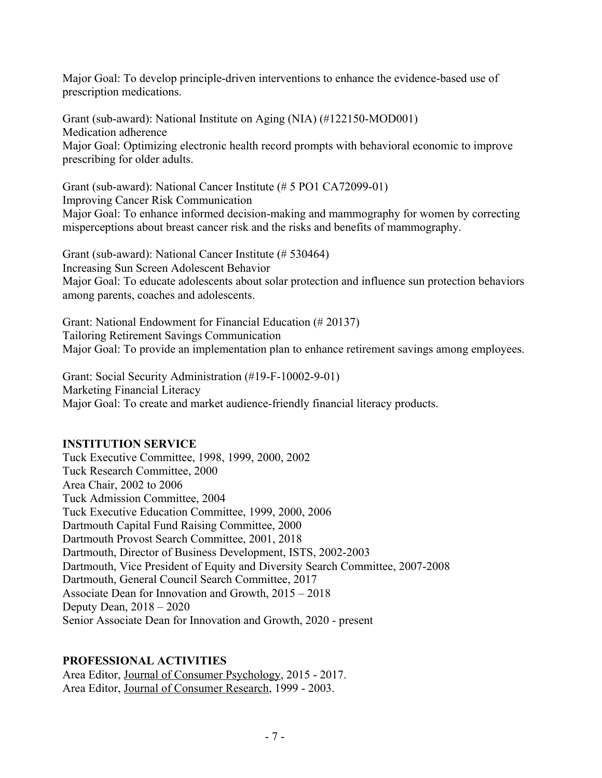Major Goal: To develop principle-driven interventions to enhance the evidence-based use of prescription medications.

Grant (sub-award): National Institute on Aging (NIA) (#122150-MOD001) Medication adherence Major Goal: Optimizing electronic health record prompts with behavioral economic to improve prescribing for older adults.

Grant (sub-award): National Cancer Institute (# 5 PO1 CA72099-01) Improving Cancer Risk Communication Major Goal: To enhance informed decision-making and mammography for women by correcting misperceptions about breast cancer risk and the risks and benefits of mammography.

Grant (sub-award): National Cancer Institute (# 530464) Increasing Sun Screen Adolescent Behavior Major Goal: To educate adolescents about solar protection and influence sun protection behaviors among parents, coaches and adolescents.

Grant: National Endowment for Financial Education (# 20137) Tailoring Retirement Savings Communication Major Goal: To provide an implementation plan to enhance retirement savings among employees.

Grant: Social Security Administration (#19-F-10002-9-01) Marketing Financial Literacy Major Goal: To create and market audience-friendly financial literacy products.

### **INSTITUTION SERVICE**

Tuck Executive Committee, 1998, 1999, 2000, 2002 Tuck Research Committee, 2000 Area Chair, 2002 to 2006 Tuck Admission Committee, 2004 Tuck Executive Education Committee, 1999, 2000, 2006 Dartmouth Capital Fund Raising Committee, 2000 Dartmouth Provost Search Committee, 2001, 2018 Dartmouth, Director of Business Development, ISTS, 2002-2003 Dartmouth, Vice President of Equity and Diversity Search Committee, 2007-2008 Dartmouth, General Council Search Committee, 2017 Associate Dean for Innovation and Growth, 2015 – 2018 Deputy Dean, 2018 – 2020 Senior Associate Dean for Innovation and Growth, 2020 - present

### **PROFESSIONAL ACTIVITIES**

Area Editor, Journal of Consumer Psychology, 2015 - 2017. Area Editor, Journal of Consumer Research, 1999 - 2003.